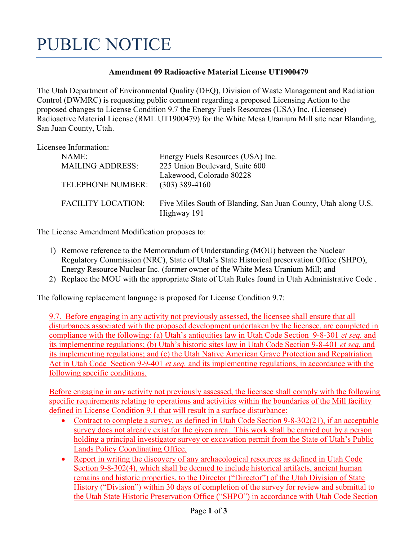## PUBLIC NOTICE

## Amendment 09 Radioactive Material License UT1900479

The Utah Department of Environmental Quality (DEQ), Division of Waste Management and Radiation Control (DWMRC) is requesting public comment regarding a proposed Licensing Action to the proposed changes to License Condition 9.7 the Energy Fuels Resources (USA) Inc. (Licensee) Radioactive Material License (RML UT1900479) for the White Mesa Uranium Mill site near Blanding, San Juan County, Utah.

| Licensee Information: |                           |                                                                |
|-----------------------|---------------------------|----------------------------------------------------------------|
|                       | NAME:                     | Energy Fuels Resources (USA) Inc.                              |
|                       | <b>MAILING ADDRESS:</b>   | 225 Union Boulevard, Suite 600                                 |
|                       |                           | Lakewood, Colorado 80228                                       |
|                       | <b>TELEPHONE NUMBER:</b>  | $(303)$ 389-4160                                               |
|                       |                           |                                                                |
|                       | <b>FACILITY LOCATION:</b> | Five Miles South of Blanding, San Juan County, Utah along U.S. |
|                       |                           | Highway 191                                                    |

The License Amendment Modification proposes to:

- 1) Remove reference to the Memorandum of Understanding (MOU) between the Nuclear Regulatory Commission (NRC), State of Utah's State Historical preservation Office (SHPO), Energy Resource Nuclear Inc. (former owner of the White Mesa Uranium Mill; and
- 2) Replace the MOU with the appropriate State of Utah Rules found in Utah Administrative Code .

The following replacement language is proposed for License Condition 9.7:

9.7. Before engaging in any activity not previously assessed, the licensee shall ensure that all disturbances associated with the proposed development undertaken by the licensee, are completed in compliance with the following: (a) Utah's antiquities law in Utah Code Section 9-8-301 et seq. and its implementing regulations; (b) Utah's historic sites law in Utah Code Section 9-8-401 et seq. and its implementing regulations; and (c) the Utah Native American Grave Protection and Repatriation Act in Utah Code Section 9-9-401 *et seq.* and its implementing regulations, in accordance with the following specific conditions.

Before engaging in any activity not previously assessed, the licensee shall comply with the following specific requirements relating to operations and activities within the boundaries of the Mill facility defined in License Condition 9.1 that will result in a surface disturbance:

- Contract to complete a survey, as defined in Utah Code Section 9-8-302(21), if an acceptable survey does not already exist for the given area. This work shall be carried out by a person holding a principal investigator survey or excavation permit from the State of Utah's Public Lands Policy Coordinating Office.
- Report in writing the discovery of any archaeological resources as defined in Utah Code Section 9-8-302(4), which shall be deemed to include historical artifacts, ancient human remains and historic properties, to the Director ("Director") of the Utah Division of State History ("Division") within 30 days of completion of the survey for review and submittal to the Utah State Historic Preservation Office ("SHPO") in accordance with Utah Code Section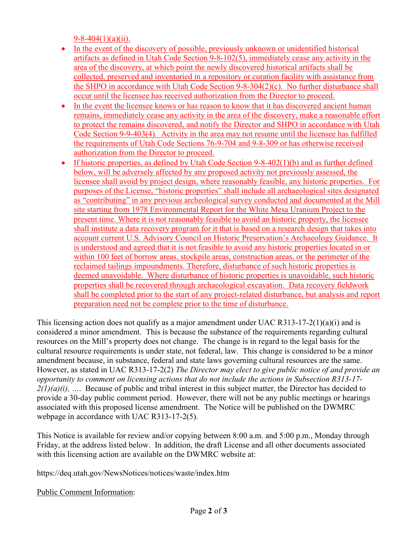9-8-404(1)(a)(ii).

- In the event of the discovery of possible, previously unknown or unidentified historical artifacts as defined in Utah Code Section 9-8-102(5), immediately cease any activity in the area of the discovery, at which point the newly discovered historical artifacts shall be collected, preserved and inventoried in a repository or curation facility with assistance from the SHPO in accordance with Utah Code Section 9-8-304(2)(c). No further disturbance shall occur until the licensee has received authorization from the Director to proceed.
- In the event the licensee knows or has reason to know that it has discovered ancient human remains, immediately cease any activity in the area of the discovery, make a reasonable effort to protect the remains discovered, and notify the Director and SHPO in accordance with Utah Code Section 9-9-403(4). Activity in the area may not resume until the licensee has fulfilled the requirements of Utah Code Sections 76-9-704 and 9-8-309 or has otherwise received authorization from the Director to proceed.
- If historic properties, as defined by Utah Code Section  $9-8-402(1)(b)$  and as further defined below, will be adversely affected by any proposed activity not previously assessed, the licensee shall avoid by project design, where reasonably feasible, any historic properties. For purposes of the License, "historic properties" shall include all archaeological sites designated as "contributing" in any previous archeological survey conducted and documented at the Mill site starting from 1978 Environmental Report for the White Mesa Uranium Project to the present time. Where it is not reasonably feasible to avoid an historic property, the licensee shall institute a data recovery program for it that is based on a research design that takes into account current U.S. Advisory Council on Historic Preservation's Archaeology Guidance. It is understood and agreed that it is not feasible to avoid any historic properties located in or within 100 feet of borrow areas, stockpile areas, construction areas, or the perimeter of the reclaimed tailings impoundments. Therefore, disturbance of such historic properties is deemed unavoidable. Where disturbance of historic properties is unavoidable, such historic properties shall be recovered through archaeological excavation. Data recovery fieldwork shall be completed prior to the start of any project-related disturbance, but analysis and report preparation need not be complete prior to the time of disturbance.

This licensing action does not qualify as a major amendment under UAC R313-17-2(1)(a)(i) and is considered a minor amendment. This is because the substance of the requirements regarding cultural resources on the Mill's property does not change. The change is in regard to the legal basis for the cultural resource requirements is under state, not federal, law. This change is considered to be a minor amendment because, in substance, federal and state laws governing cultural resources are the same. However, as stated in UAC R313-17-2(2) The Director may elect to give public notice of and provide an opportunity to comment on licensing actions that do not include the actions in Subsection R313-17-  $2(1)(a)(i)$ , .... Because of public and tribal interest in this subject matter, the Director has decided to provide a 30-day public comment period. However, there will not be any public meetings or hearings associated with this proposed license amendment. The Notice will be published on the DWMRC webpage in accordance with UAC R313-17-2(5).

This Notice is available for review and/or copying between 8:00 a.m. and 5:00 p.m., Monday through Friday, at the address listed below. In addition, the draft License and all other documents associated with this licensing action are available on the DWMRC website at:

https://deq.utah.gov/NewsNotices/notices/waste/index.htm

Public Comment Information: